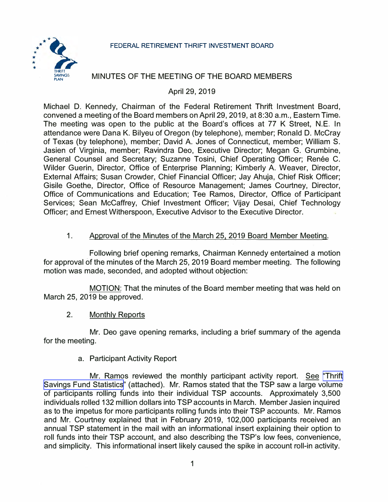### **FEDERAL RETIREMENT THRIFT INVESTMENT BOARD**



# MINUTES OF THE MEETING OF THE BOARD MEMBERS

# April 29, 2019

Michael D. Kennedy, Chairman of the Federal Retirement Thrift Investment Board, convened a meeting of the Board members on April 29, 2019, at 8:30 a.m., Eastern Time. The meeting was open to the public at the Board's offices at 77 K Street, N.E. In attendance were Dana K. Bilyeu of Oregon (by telephone), member; Ronald D. McCray of Texas (by telephone), member; David A. Jones of Connecticut, member; William S. Jasien of Virginia, member; Ravindra Deo, Executive Director; Megan G. Grumbine, General Counsel and Secretary; Suzanne Tosini, Chief Operating Officer; Renée C. Wilder Guerin, Director, Office of Enterprise Planning; Kimberly A. Weaver, Director, External Affairs; Susan Crowder, Chief Financial Officer; Jay Ahuja, Chief Risk Officer; Gisile Goethe, Director, Office of Resource Management; James Courtney, Director, Office of Communications and Education; Tee Ramos, Director, Office of Participant Services; Sean McCaffrey, Chief Investment Officer; Vijay Desai, Chief Technology Officer; and Ernest Witherspoon, Executive Advisor to the Executive Director.

# 1. Approval of the Minutes of the March 25, 2019 Board Member Meeting.

Following brief opening remarks, Chairman Kennedy entertained a motion for approval of the minutes of the March 25, 2019 Board member meeting. The following motion was made, seconded, and adopted without objection:

MOTION: That the minutes of the Board member meeting that was held on March 25, 2019 be approved.

2. Monthly Reports

Mr. Deo gave opening remarks, including a brief summary of the agenda for the meeting.

### a. Participant Activity Report

Mr. Ramos reviewed the monthly participant activity report. See ["Thrift](https://www.frtib.gov/pdf/minutes/2019/Apr/MM-2019Apr-Att1.pdf)" [Savings Fund](https://www.frtib.gov/pdf/minutes/2019/Apr/MM-2019Apr-Att1.pdf) Statistics" (attached). Mr. Ramos stated that the TSP saw a large volume of participants rolling funds into their individual TSP accounts. Approximately 3,500 individuals rolled 132 million dollars into TSPaccounts in March. Member Jasien inquired as to the impetus for more participants rolling funds into their TSP accounts. Mr. Ramos and Mr. Courtney explained that in February 2019, 102,000 participants received an annual TSP statement in the mail with an informational insert explaining their option to roll funds into their TSP account, and also describing the TSP's low fees, convenience, and simplicity. This informational insert likely caused the spike in account roll-in activity.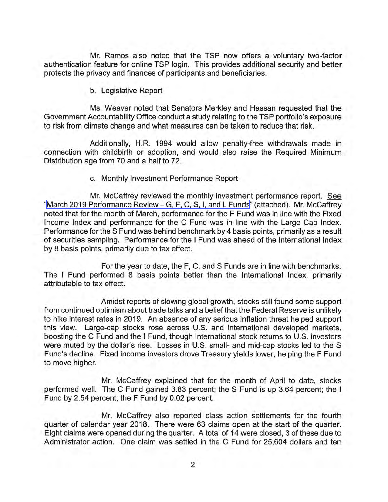Mr. Ramos also noted that the TSP now offers a voluntary two-factor authentication feature for online TSP login. This provides additional security and better protects the privacy and finances of participants and beneficiaries.

b. Legislative Report

Ms. Weaver noted that Senators Merkley and Hassan requested that the Government Accountability Office conduct a study relating to the TSP portfolio's exposure to risk from climate change and what measures can be taken to reduce that risk.

Additionally, H.R. 1994 would allow penalty-free withdrawals made in connection with childbirth or adoption, and would also raise the Required Minimum Distribution age from 70 and a half to 72.

c. Monthly Investment Performance Report

Mr. McCaffrey reviewed the monthly investment performance report. See "[March 2019 Performance Review-G, F, C, S, I, and L Funds](https://www.frtib.gov/pdf/minutes/2019/Apr/MM-2019Apr-Att2.pdf)" (attached). Mr. Mccaffrey noted that for the month of March, performance for the F Fund was in line with the Fixed Income Index and performance for the C Fund was in line with the Large Cap Index. Performance for the S Fund was behind benchmark by 4 basis points, primarily as a result of securities sampling. Performance for the I Fund was ahead of the International Index by 8 basis points, primarily due to tax effect.

For the year to date, the F, C, and S Funds are in line with benchmarks. The I Fund performed 8 basis points better than the International Index, primarily attributable to tax effect.

Amidst reports of slowing global growth, stocks still found some support from continued optimism about trade talks and a belief that the Federal Reserve is unlikely to hike interest rates in 2019. An absence of any serious inflation threat helped support this view. Large-cap stocks rose across U.S. and international developed markets, boosting the C Fund and the I Fund, though International stock returns to U.S. investors were muted by the dollar's rise. Losses in U.S. small- and mid-cap stocks led to the S Fund's decline. Fixed income investors drove Treasury yields lower, helping the F Fund to move higher.

Mr. McCaffrey explained that for the month of April to date, stocks performed well. The C Fund gained 3.83 percent; the S Fund is up 3.64 percent; the I Fund by 2.54 percent; the F Fund by 0.02 percent.

Mr. Mccaffrey also reported class action settlements for the fourth quarter of calendar year 2018. There were 63 claims open at the start of the quarter. Eight claims were opened during the quarter. A total of 14 were closed, 3 of these due to Administrator action. One claim was settled in the C Fund for 25,604 dollars and ten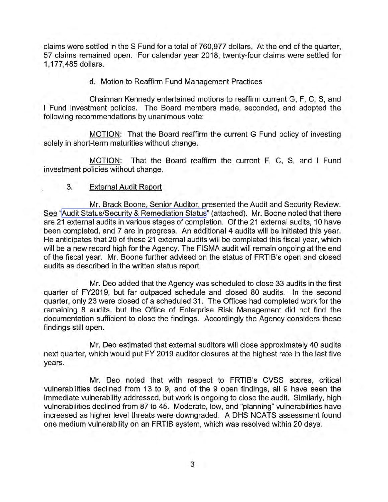claims were settled in the S Fund for a total of 760,977 dollars. At the end of the quarter, 57 claims remained open. For calendar year 2018, twenty-four claims were settled for 1 , 177,485 dollars.

d. Motion to Reaffirm Fund Management Practices

Chairman Kennedy entertained motions to reaffirm current G, F, C, S, and Fund investment policies. The Board members made, seconded, and adopted the following recommendations by unanimous vote:

MOTION: That the Board reaffirm the current G Fund policy of investing solely in short-term maturities without change.

MOTION: That the Board reaffirm the current F, C, S, and I Fund investment policies without change.

#### 3. External Audit Report

Mr. Brack Boone, Senior Auditor, presented the Audit and Security Review. See "[Audit Status/Security & Remediation Status](https://www.frtib.gov/pdf/minutes/2019/Apr/MM-2019Apr-Att3.pdf)" (attached). Mr. Boone noted that there are 21 external audits in various stages of completion. Of the 21 external audits, 10 have been completed, and 7 are in progress. An additional 4 audits will be initiated this year. He anticipates that 20 of these 21 external audits will be completed this fiscal year, which will be a new record high for the Agency. The FISMA audit will remain ongoing at the end of the fiscal year. Mr. Boone further advised on the status of FRTIB's open and closed audits as described in the written status report.

Mr. Dea added that the Agency was scheduled to close 33 audits in the first quarter of FY2019, but far outpaced schedule and closed 80 audits. In the second quarter, only 23 were closed of a scheduled 31. The Offices had completed work for the remaining 8 audits, but the Office of Enterprise Risk Management did not find the documentation sufficient to close the findings. Accordingly the Agency considers these findings still open.

Mr. Dea estimated that external auditors will close approximately 40 audits next quarter, which would put FY 2019 auditor closures at the highest rate in the last five years.

Mr. Dea noted that with respect to FRTIB's CVSS scores, critical vulnerabilities declined from 13 to 9, and of the 9 open findings, all 9 have seen the immediate vulnerability addressed, but work is ongoing to close the audit. Similarly, high vulnerabilities declined from 87 to 45. Moderate, low, and "planning" vulnerabilities have increased as higher level threats were downgraded. A OHS NCATS assessment found one medium vulnerability on an FRTIB system, which was resolved within 20 days.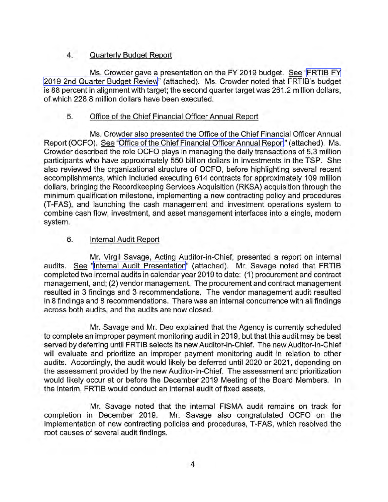# 4. Quarterly Budget Report

Ms. Crowder gave a presentation on the FY 2019 budget. See ["FRTIB FY](https://www.frtib.gov/pdf/minutes/2019/Apr/MM-2019Apr-Att4.pdf) [2019 2nd Quarter Budget Review"](https://www.frtib.gov/pdf/minutes/2019/Apr/MM-2019Apr-Att4.pdf) (attached). Ms. Crowder noted that FRTIB's budget is 88 percent in alignment with target; the second quarter target was 261.2 million dollars, of which 228.8 million dollars have been executed.

# 5. Office of the Chief Financial Officer Annual Report

Ms. Crowder also presented the Office of the Chief Financial Officer Annual Report (OCFO). See "[Office of the Chief Financial Officer Annual Report"](https://www.frtib.gov/pdf/minutes/2019/Apr/MM-2019Apr-Att5.pdf) (attached). Ms. Crowder described the role OCFO plays in managing the daily transactions of 5.3 million participants who have approximately 550 billion dollars in investments in the TSP. She also reviewed the organizational structure of OCFO, before highlighting several recent accomplishments, which included executing 614 contracts for approximately 109 million dollars, bringing the Recordkeeping Services Acquisition (RKSA) acquisition through the minimum qualification milestone, implementing a new contracting policy and procedures (T-FAS), and launching the cash management and investment operations system to combine cash flow, investment, and asset management interfaces into a single, modern system.

# 6. Internal Audit Report

Mr. Virgil Savage, Acting Auditor-in-Chief, presented a report on internal audits. See "[Internal Audit Presentation"](https://www.frtib.gov/pdf/minutes/2019/Apr/MM-2019Apr-Att6.pdf) (attached). Mr. Savage noted that FRTIB completed two internal audits in calendar year 2019 to date: (1) procurement and contract management, and; (2) vendor management. The procurement and contract management resulted in 3 findings and 3 recommendations. The vendor management audit resulted in 8 findings and 8 recommendations. There was an internal concurrence with all findings across both audits, and the audits are now closed.

Mr. Savage and Mr. Deo explained that the Agency is currently scheduled to complete an improper payment monitoring audit in 2019, but that this audit may be best served by deferring until FRTIB selects its new Auditor-in-Chief. The new Auditor-in-Chief will evaluate and prioritize an improper payment monitoring audit in relation to other audits. Accordingly, the audit would likely be deferred until 2020 or 2021, depending on the assessment provided by the new Auditor-in-Chief. The assessment and prioritization would likely occur at or before the December 2019 Meeting of the Board Members. In the interim, FRTIB would conduct an internal audit of fixed assets.

Mr. Savage noted that the internal FISMA audit remains on track for completion in December 2019. Mr. Savage also congratulated OCFO on the implementation of new contracting policies and procedures, T-FAS, which resolved the root causes of several audit findings.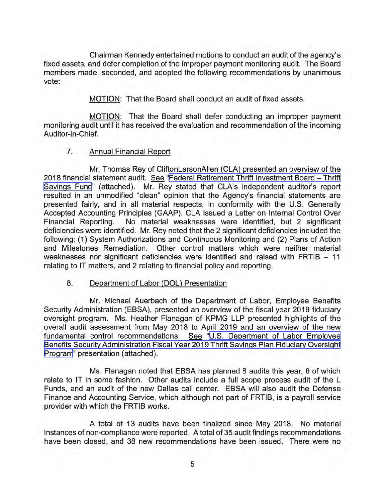Chairman Kennedy entertained motions to conduct an audit of the agency's fixed assets, and defer completion of the improper payment monitoring audit. The Board members made, seconded, and adopted the following recommendations by unanimous vote:

MOTION: That the Board shall conduct an audit of fixed assets.

MOTION: That the Board shall defer conducting an improper payment monitoring audit until it has received the evaluation and recommendation of the incoming Auditor-in-Chief.

# 7. Annual Financial Report

Mr. Thomas Rey of CliftonLarsonAllen (CLA) presented an overview of the 2018 financial statement audit. See "[Federal Retirement Thrift Investment Board -](https://www.frtib.gov/pdf/minutes/2019/Apr/MM-2019Apr-Att7.pdf) Thrift [Savings Fund"](https://www.frtib.gov/pdf/minutes/2019/Apr/MM-2019Apr-Att7.pdf) (attached). Mr. Rey stated that CLA's independent auditor's report resulted in an unmodified "clean" opinion that the Agency's financial statements are presented fairly, and in all material respects, in conformity with the U.S. Generally Accepted Accounting Principles (GAAP). CLA issued a Letter on Internal Control Over Financial Reporting. No material weaknesses were identified, but 2 significant deficiencies were identified. Mr. Rey noted that the 2 significant deficiencies included the following: (1) System Authorizations and Continuous Monitoring and (2) Plans of Action and Milestones Remediation. Other control matters which were neither material weaknesses nor significant deficiencies were identified and raised with FRTIB  $-11$ relating to IT matters, and 2 relating to financial policy and reporting.

### 8. Department of Labor (DOL) Presentation

Mr. Michael Auerbach of the Department of Labor, Employee Benefits Security Administration (EBSA), presented an overview of the fiscal year 2019 fiduciary oversight program. Ms. Heather Flanagan of KPMG LLP presented highlights of the overall audit assessment from May 2018 to April 2019 and an overview of the new fundamental control recommendations. See "[U.S. Department of Labor Employee](https://www.frtib.gov/pdf/minutes/2019/Apr/MM-2019Apr-Att8.pdf) [Benefits Security Administration Fiscal Year 2019 Thrift Savings Plan Fiduciary Oversight](https://www.frtib.gov/pdf/minutes/2019/Apr/MM-2019Apr-Att8.pdf) [Program"](https://www.frtib.gov/pdf/minutes/2019/Apr/MM-2019Apr-Att8.pdf) presentation (attached).

Ms. Flanagan noted that EBSA has planned 8 audits this year, 6 of which relate to IT in some fashion. Other audits include a full scope process audit of the L Funds, and an audit of the new Dallas call center. EBSA will also audit the Defense Finance and Accounting Service, which although not part of FRTIB, is a payroll service provider with which the FRTIB works.

A total of 13 audits have been finalized since May 2018. No material instances of non-compliance were reported. A total of 35 audit findings recommendations have been closed, and 38 new recommendations have been issued. There were no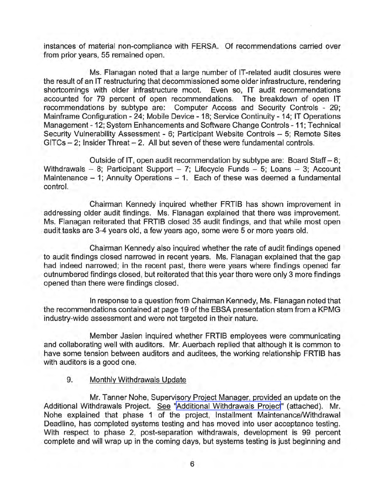instances of material non-compliance with FERSA. Of recommendations carried over from prior years, 55 remained open.

Ms. Flanagan noted that a large number of IT-related audit closures were the result of an IT restructuring that decommissioned some older infrastructure, rendering shortcomings with older infrastructure moot. Even so, IT audit recommendations accounted for 79 percent of open recommendations. The breakdown of open IT recommendations by subtype are: Computer Access and Security Controls - 29; Mainframe Configuration - 24; Mobile Device - 18; Service Continuity - 14; IT Operations Management - 12; System Enhancements and Software Change Controls - 11; Technical Security Vulnerability Assessment - 6; Participant Website Controls - 5; Remote Sites  $GITCs - 2$ ; Insider Threat  $- 2$ . All but seven of these were fundamental controls.

Outside of IT, open audit recommendation by subtype are: Board Staff- 8; Withdrawals - 8; Participant Support - 7; Lifecycle Funds - 5; Loans - 3; Account Maintenance  $-1$ ; Annuity Operations  $-1$ . Each of these was deemed a fundamental control.

Chairman Kennedy inquired whether FRTIB has shown improvement in addressing older audit findings. Ms. Flanagan explained that there was improvement. Ms. Flanagan reiterated that FRTIB closed 35 audit findings, and that while most open audit tasks are 3-4 years old, a few years ago, some were 5 or more years old.

Chairman Kennedy also inquired whether the rate of audit findings opened to audit findings closed narrowed in recent years. Ms. Flanagan explained that the gap had indeed narrowed; in the recent past, there were years where findings opened far outnumbered findings closed, but reiterated that this year there were only 3 more findings opened than there were findings closed.

In response to a question from Chairman Kennedy, Ms. Flanagan noted that the recommendations contained at page 19 of the EBSA presentation stem from a KPMG industry-wide assessment and were not targeted in their nature.

Member Jasien inquired whether FRTIB employees were communicating and collaborating well with auditors. Mr. Auerbach replied that although it is common to have some tension between auditors and auditees, the working relationship FRTIB has with auditors is a good one.

### 9. Monthly Withdrawals Update

Mr. Tanner Nohe, Supervisory Project Manager, provided an update on the Additional Withdrawals Project. See ["Additional Withdrawals Project"](https://www.frtib.gov/pdf/minutes/2019/Apr/MM-2019Apr-Att9.pdf) (attached). Mr. Nohe explained that phase 1 of the project, Installment Maintenance/Withdrawal Deadline, has completed systems testing and has moved into user acceptance testing. With respect to phase 2, post-separation withdrawals, development is 99 percent complete and will wrap up in the coming days, but systems testing is just beginning and